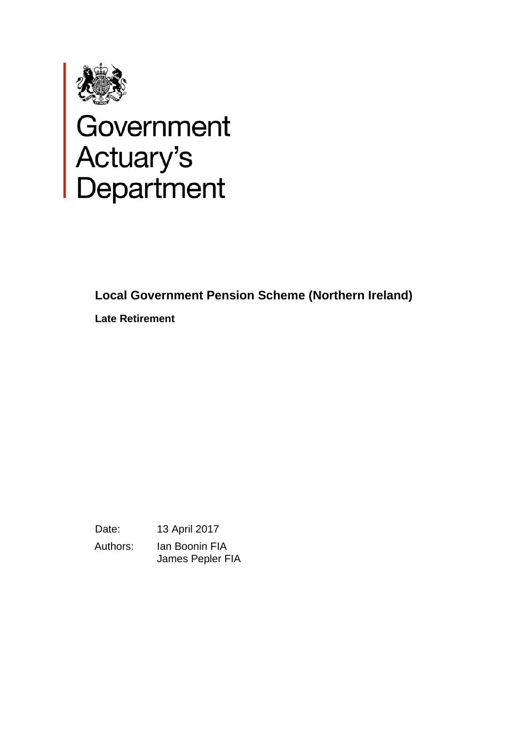

# **Exact Strategiers**<br> **Sovernment**<br> **Actuary's**<br> **Department**

**Local Government Pension Scheme (Northern Ireland)**

**Late Retirement**

Date: 13 April 2017

Authors: Ian Boonin FIA James Pepler FIA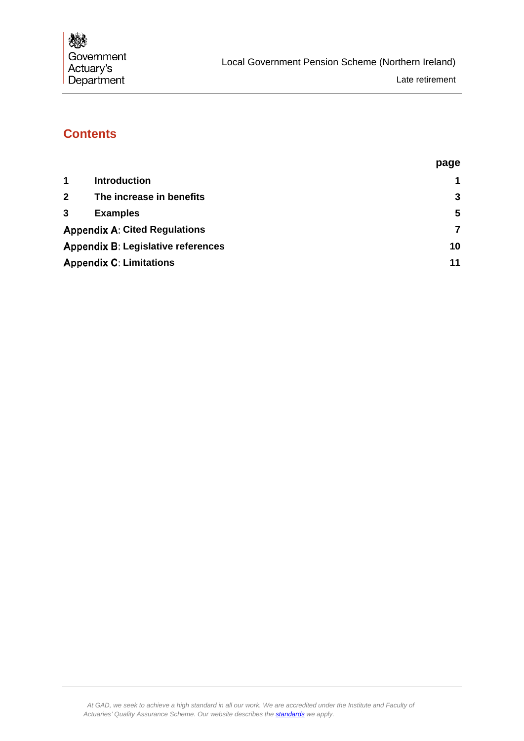

# **Contents**

|                                |                                           | page |
|--------------------------------|-------------------------------------------|------|
| 1                              | <b>Introduction</b>                       |      |
| $\mathbf{2}$                   | The increase in benefits                  | 3    |
| 3                              | <b>Examples</b>                           | 5    |
|                                | <b>Appendix A: Cited Regulations</b>      | 7    |
|                                | <b>Appendix B: Legislative references</b> | 10   |
| <b>Appendix C: Limitations</b> |                                           |      |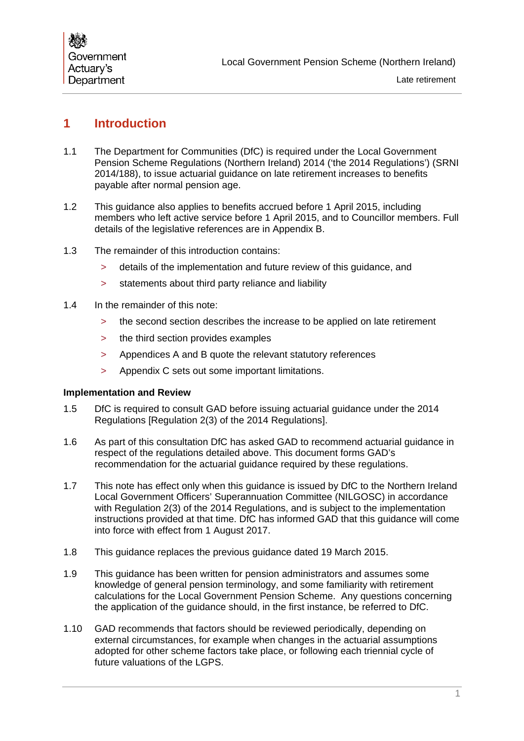# <span id="page-2-0"></span>**1 Introduction**

- 1.1 The Department for Communities (DfC) is required under the Local Government Pension Scheme Regulations (Northern Ireland) 2014 ('the 2014 Regulations') (SRNI 2014/188), to issue actuarial guidance on late retirement increases to benefits payable after normal pension age.
- 1.2 This guidance also applies to benefits accrued before 1 April 2015, including members who left active service before 1 April 2015, and to Councillor members. Full details of the legislative references are in Appendix B.
- 1.3 The remainder of this introduction contains:
	- > details of the implementation and future review of this guidance, and
	- > statements about third party reliance and liability
- 1.4 In the remainder of this note:
	- > the second section describes the increase to be applied on late retirement
	- > the third section provides examples
	- > Appendices A and B quote the relevant statutory references
	- > Appendix C sets out some important limitations.

#### **Implementation and Review**

- 1.5 DfC is required to consult GAD before issuing actuarial guidance under the 2014 Regulations [Regulation 2(3) of the 2014 Regulations].
- 1.6 As part of this consultation DfC has asked GAD to recommend actuarial guidance in respect of the regulations detailed above. This document forms GAD's recommendation for the actuarial guidance required by these regulations.
- 1.7 This note has effect only when this guidance is issued by DfC to the Northern Ireland Local Government Officers' Superannuation Committee (NILGOSC) in accordance with Regulation 2(3) of the 2014 Regulations, and is subject to the implementation instructions provided at that time. DfC has informed GAD that this guidance will come into force with effect from 1 August 2017.
- 1.8 This guidance replaces the previous guidance dated 19 March 2015.
- 1.9 This guidance has been written for pension administrators and assumes some knowledge of general pension terminology, and some familiarity with retirement calculations for the Local Government Pension Scheme. Any questions concerning the application of the guidance should, in the first instance, be referred to DfC.
- 1.10 GAD recommends that factors should be reviewed periodically, depending on external circumstances, for example when changes in the actuarial assumptions adopted for other scheme factors take place, or following each triennial cycle of future valuations of the LGPS.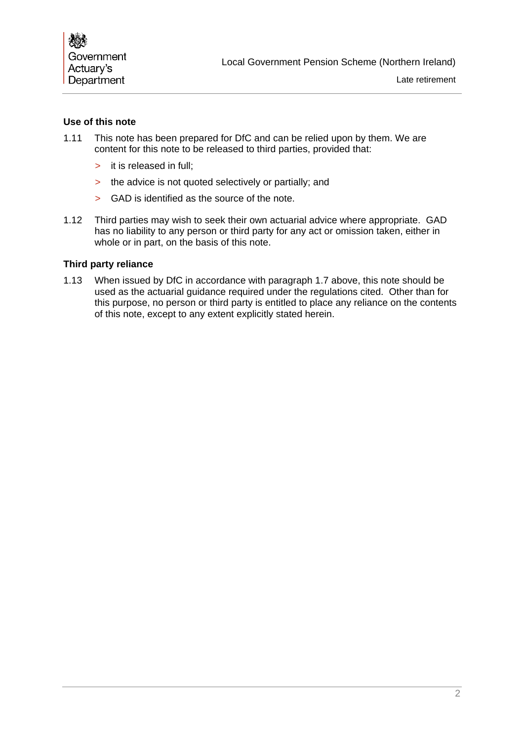| 燃<br>Government   |                                                    |
|-------------------|----------------------------------------------------|
| $\vert$ Actuary's | Local Government Pension Scheme (Northern Ireland) |
| Department        | Late retirement                                    |

#### **Use of this note**

- 1.11 This note has been prepared for DfC and can be relied upon by them. We are content for this note to be released to third parties, provided that:
	- > it is released in full;
	- > the advice is not quoted selectively or partially; and
	- > GAD is identified as the source of the note.
- 1.12 Third parties may wish to seek their own actuarial advice where appropriate. GAD has no liability to any person or third party for any act or omission taken, either in whole or in part, on the basis of this note.

#### **Third party reliance**

1.13 When issued by DfC in accordance with paragraph 1.7 above, this note should be used as the actuarial guidance required under the regulations cited. Other than for this purpose, no person or third party is entitled to place any reliance on the contents of this note, except to any extent explicitly stated herein.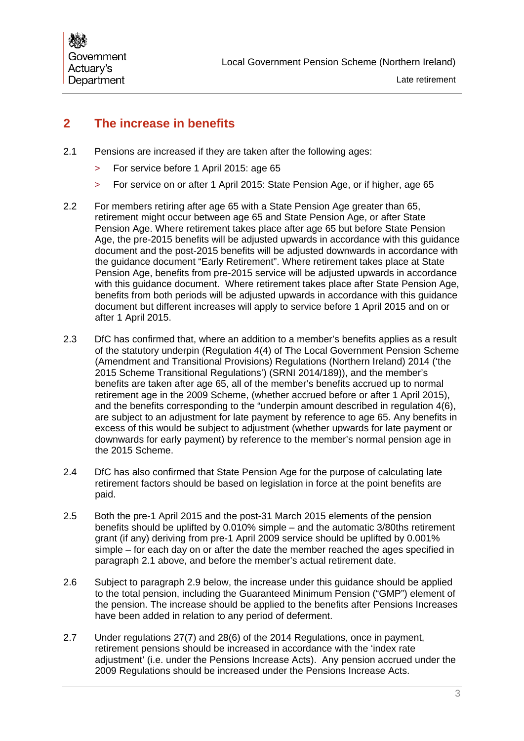Government Actuary's Department

# <span id="page-4-0"></span>**2 The increase in benefits**

- <span id="page-4-1"></span>2.1 Pensions are increased if they are taken after the following ages:
	- > For service before 1 April 2015: age 65
	- > For service on or after 1 April 2015: State Pension Age, or if higher, age 65
- 2.2 For members retiring after age 65 with a State Pension Age greater than 65, retirement might occur between age 65 and State Pension Age, or after State Pension Age. Where retirement takes place after age 65 but before State Pension Age, the pre-2015 benefits will be adjusted upwards in accordance with this guidance document and the post-2015 benefits will be adjusted downwards in accordance with the guidance document "Early Retirement". Where retirement takes place at State Pension Age, benefits from pre-2015 service will be adjusted upwards in accordance with this guidance document. Where retirement takes place after State Pension Age, benefits from both periods will be adjusted upwards in accordance with this guidance document but different increases will apply to service before 1 April 2015 and on or after 1 April 2015.
- 2.3 DfC has confirmed that, where an addition to a member's benefits applies as a result of the statutory underpin (Regulation 4(4) of The Local Government Pension Scheme (Amendment and Transitional Provisions) Regulations (Northern Ireland) 2014 ('the 2015 Scheme Transitional Regulations') (SRNI 2014/189)), and the member's benefits are taken after age 65, all of the member's benefits accrued up to normal retirement age in the 2009 Scheme, (whether accrued before or after 1 April 2015), and the benefits corresponding to the "underpin amount described in regulation 4(6), are subject to an adjustment for late payment by reference to age 65. Any benefits in excess of this would be subject to adjustment (whether upwards for late payment or downwards for early payment) by reference to the member's normal pension age in the 2015 Scheme.
- 2.4 DfC has also confirmed that State Pension Age for the purpose of calculating late retirement factors should be based on legislation in force at the point benefits are paid.
- 2.5 Both the pre-1 April 2015 and the post-31 March 2015 elements of the pension benefits should be uplifted by 0.010% simple – and the automatic 3/80ths retirement grant (if any) deriving from pre-1 April 2009 service should be uplifted by 0.001% simple – for each day on or after the date the member reached the ages specified in paragraph [2.1](#page-4-1) above, and before the member's actual retirement date.
- 2.6 Subject to paragraph [2.9](#page-5-0) below, the increase under this guidance should be applied to the total pension, including the Guaranteed Minimum Pension ("GMP") element of the pension. The increase should be applied to the benefits after Pensions Increases have been added in relation to any period of deferment.
- 2.7 Under regulations 27(7) and 28(6) of the 2014 Regulations, once in payment, retirement pensions should be increased in accordance with the 'index rate adjustment' (i.e. under the Pensions Increase Acts). Any pension accrued under the 2009 Regulations should be increased under the Pensions Increase Acts.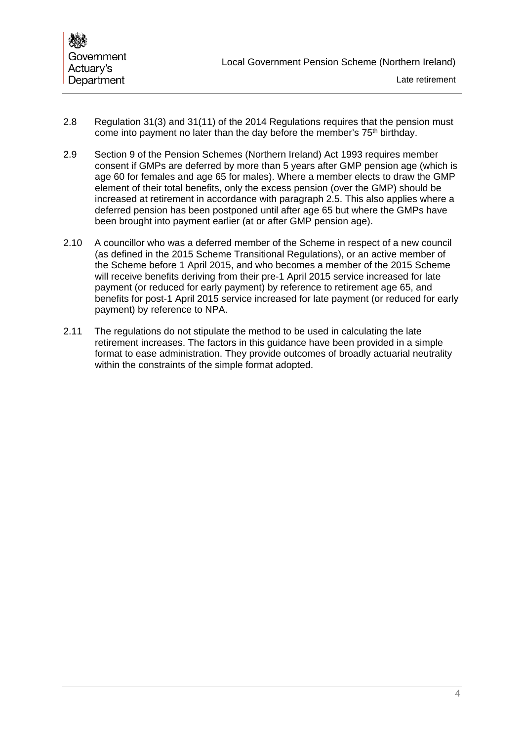

- 2.8 Regulation 31(3) and 31(11) of the 2014 Regulations requires that the pension must come into payment no later than the day before the member's 75<sup>th</sup> birthday.
- <span id="page-5-0"></span>2.9 Section 9 of the Pension Schemes (Northern Ireland) Act 1993 requires member consent if GMPs are deferred by more than 5 years after GMP pension age (which is age 60 for females and age 65 for males). Where a member elects to draw the GMP element of their total benefits, only the excess pension (over the GMP) should be increased at retirement in accordance with paragraph 2.5. This also applies where a deferred pension has been postponed until after age 65 but where the GMPs have been brought into payment earlier (at or after GMP pension age).
- 2.10 A councillor who was a deferred member of the Scheme in respect of a new council (as defined in the 2015 Scheme Transitional Regulations), or an active member of the Scheme before 1 April 2015, and who becomes a member of the 2015 Scheme will receive benefits deriving from their pre-1 April 2015 service increased for late payment (or reduced for early payment) by reference to retirement age 65, and benefits for post-1 April 2015 service increased for late payment (or reduced for early payment) by reference to NPA.
- 2.11 The regulations do not stipulate the method to be used in calculating the late retirement increases. The factors in this guidance have been provided in a simple format to ease administration. They provide outcomes of broadly actuarial neutrality within the constraints of the simple format adopted.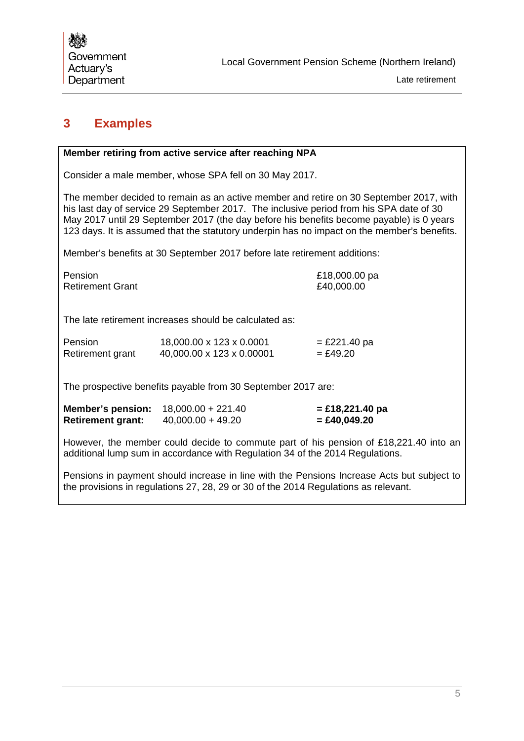

# <span id="page-6-0"></span>**3 Examples**

| Member retiring from active service after reaching NPA                                                                                                                                                                                                                                                                                                                       |                                                       |                                     |  |  |  |
|------------------------------------------------------------------------------------------------------------------------------------------------------------------------------------------------------------------------------------------------------------------------------------------------------------------------------------------------------------------------------|-------------------------------------------------------|-------------------------------------|--|--|--|
| Consider a male member, whose SPA fell on 30 May 2017.                                                                                                                                                                                                                                                                                                                       |                                                       |                                     |  |  |  |
| The member decided to remain as an active member and retire on 30 September 2017, with<br>his last day of service 29 September 2017. The inclusive period from his SPA date of 30<br>May 2017 until 29 September 2017 (the day before his benefits become payable) is 0 years<br>123 days. It is assumed that the statutory underpin has no impact on the member's benefits. |                                                       |                                     |  |  |  |
| Member's benefits at 30 September 2017 before late retirement additions:                                                                                                                                                                                                                                                                                                     |                                                       |                                     |  |  |  |
| Pension<br><b>Retirement Grant</b>                                                                                                                                                                                                                                                                                                                                           |                                                       | £18,000.00 pa<br>£40,000.00         |  |  |  |
| The late retirement increases should be calculated as:                                                                                                                                                                                                                                                                                                                       |                                                       |                                     |  |  |  |
| Pension<br>Retirement grant                                                                                                                                                                                                                                                                                                                                                  | 18,000.00 x 123 x 0.0001<br>40,000.00 x 123 x 0.00001 | $=$ £221.40 pa<br>$= £49.20$        |  |  |  |
| The prospective benefits payable from 30 September 2017 are:                                                                                                                                                                                                                                                                                                                 |                                                       |                                     |  |  |  |
| Member's pension:<br><b>Retirement grant:</b>                                                                                                                                                                                                                                                                                                                                | $18,000.00 + 221.40$<br>$40,000.00 + 49.20$           | $=$ £18,221.40 pa<br>$=$ £40,049.20 |  |  |  |
| However, the member could decide to commute part of his pension of £18,221.40 into an<br>additional lump sum in accordance with Regulation 34 of the 2014 Regulations.                                                                                                                                                                                                       |                                                       |                                     |  |  |  |

Pensions in payment should increase in line with the Pensions Increase Acts but subject to the provisions in regulations 27, 28, 29 or 30 of the 2014 Regulations as relevant.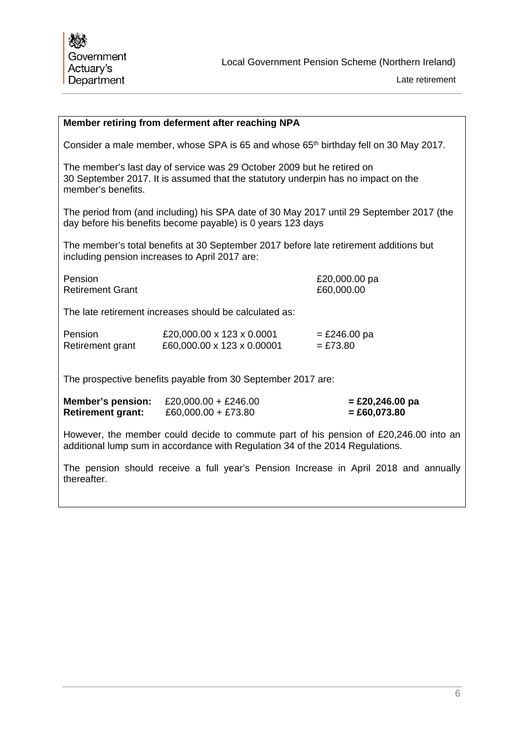| Member retiring from deferment after reaching NPA                                                                                                                                 |                                                                                                  |                                     |  |  |  |
|-----------------------------------------------------------------------------------------------------------------------------------------------------------------------------------|--------------------------------------------------------------------------------------------------|-------------------------------------|--|--|--|
|                                                                                                                                                                                   | Consider a male member, whose SPA is 65 and whose 65 <sup>th</sup> birthday fell on 30 May 2017. |                                     |  |  |  |
| The member's last day of service was 29 October 2009 but he retired on<br>30 September 2017. It is assumed that the statutory underpin has no impact on the<br>member's benefits. |                                                                                                  |                                     |  |  |  |
| The period from (and including) his SPA date of 30 May 2017 until 29 September 2017 (the<br>day before his benefits become payable) is 0 years 123 days                           |                                                                                                  |                                     |  |  |  |
| The member's total benefits at 30 September 2017 before late retirement additions but<br>including pension increases to April 2017 are:                                           |                                                                                                  |                                     |  |  |  |
| Pension<br><b>Retirement Grant</b>                                                                                                                                                |                                                                                                  | £20,000.00 pa<br>£60,000.00         |  |  |  |
|                                                                                                                                                                                   | The late retirement increases should be calculated as:                                           |                                     |  |  |  |
| Pension<br>Retirement grant                                                                                                                                                       | £20,000.00 x 123 x 0.0001<br>£60,000.00 x 123 x 0.00001                                          | $=$ £246.00 pa<br>$= £73.80$        |  |  |  |
| The prospective benefits payable from 30 September 2017 are:                                                                                                                      |                                                                                                  |                                     |  |  |  |
| <b>Member's pension:</b><br><b>Retirement grant:</b>                                                                                                                              | £20,000.00 + £246.00<br>$£60,000.00 + £73.80$                                                    | $=$ £20,246.00 pa<br>$= £60,073.80$ |  |  |  |
| However, the member could decide to commute part of his pension of £20,246.00 into an<br>additional lump sum in accordance with Regulation 34 of the 2014 Regulations.            |                                                                                                  |                                     |  |  |  |

The pension should receive a full year's Pension Increase in April 2018 and annually thereafter.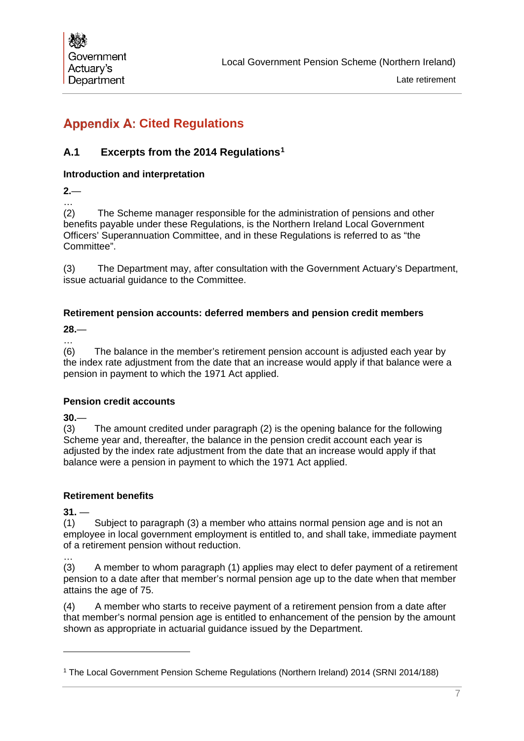# <span id="page-8-0"></span>**Appendix A: Cited Regulations**

### **A.1 Excerpts from the 2014 Regulations[1](#page-8-1)**

#### **Introduction and interpretation**

**2.**—

… (2) The Scheme manager responsible for the administration of pensions and other benefits payable under these Regulations, is the Northern Ireland Local Government Officers' Superannuation Committee, and in these Regulations is referred to as "the Committee".

(3) The Department may, after consultation with the Government Actuary's Department, issue actuarial guidance to the Committee.

#### **Retirement pension accounts: deferred members and pension credit members**

**28.**—

…

(6) The balance in the member's retirement pension account is adjusted each year by the index rate adjustment from the date that an increase would apply if that balance were a pension in payment to which the 1971 Act applied.

#### **Pension credit accounts**

 $30.$ —<br>(3)

The amount credited under paragraph  $(2)$  is the opening balance for the following Scheme year and, thereafter, the balance in the pension credit account each year is adjusted by the index rate adjustment from the date that an increase would apply if that balance were a pension in payment to which the 1971 Act applied.

#### **Retirement benefits**

 $31. -$ 

…

-

(1) Subject to paragraph (3) a member who attains normal pension age and is not an employee in local government employment is entitled to, and shall take, immediate payment of a retirement pension without reduction.

(3) A member to whom paragraph (1) applies may elect to defer payment of a retirement pension to a date after that member's normal pension age up to the date when that member attains the age of 75.

(4) A member who starts to receive payment of a retirement pension from a date after that member's normal pension age is entitled to enhancement of the pension by the amount shown as appropriate in actuarial guidance issued by the Department.

<span id="page-8-1"></span><sup>1</sup> The Local Government Pension Scheme Regulations (Northern Ireland) 2014 (SRNI 2014/188)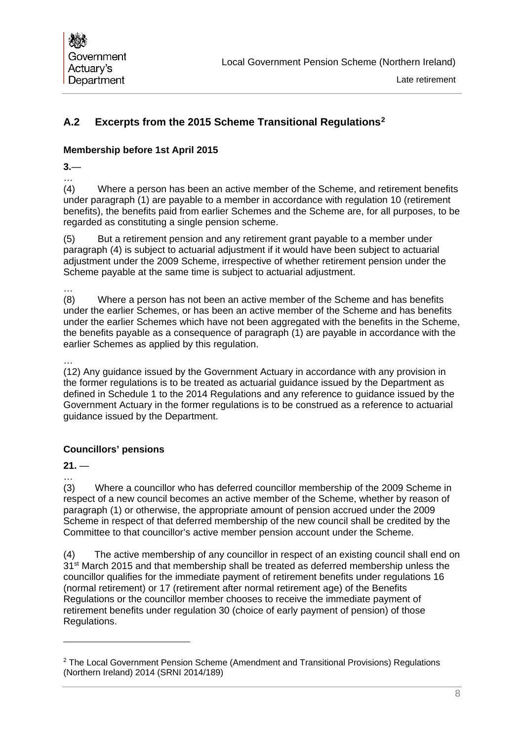## **A.2 Excerpts from the 2015 Scheme Transitional Regulations[2](#page-9-0)**

#### **Membership before 1st April 2015**

**3.**—

…

…

 $\frac{1}{(4)}$ Where a person has been an active member of the Scheme, and retirement benefits under paragraph (1) are payable to a member in accordance with regulation 10 (retirement benefits), the benefits paid from earlier Schemes and the Scheme are, for all purposes, to be regarded as constituting a single pension scheme.

(5) But a retirement pension and any retirement grant payable to a member under paragraph (4) is subject to actuarial adjustment if it would have been subject to actuarial adjustment under the 2009 Scheme, irrespective of whether retirement pension under the Scheme payable at the same time is subject to actuarial adjustment.

(8) Where a person has not been an active member of the Scheme and has benefits under the earlier Schemes, or has been an active member of the Scheme and has benefits under the earlier Schemes which have not been aggregated with the benefits in the Scheme, the benefits payable as a consequence of paragraph (1) are payable in accordance with the earlier Schemes as applied by this regulation.

(12) Any guidance issued by the Government Actuary in accordance with any provision in the former regulations is to be treated as actuarial guidance issued by the Department as defined in Schedule 1 to the 2014 Regulations and any reference to guidance issued by the Government Actuary in the former regulations is to be construed as a reference to actuarial guidance issued by the Department.

#### **Councillors' pensions**

 $21. -$ 

-

… (3) Where a councillor who has deferred councillor membership of the 2009 Scheme in respect of a new council becomes an active member of the Scheme, whether by reason of paragraph (1) or otherwise, the appropriate amount of pension accrued under the 2009 Scheme in respect of that deferred membership of the new council shall be credited by the Committee to that councillor's active member pension account under the Scheme.

(4) The active membership of any councillor in respect of an existing council shall end on 31st March 2015 and that membership shall be treated as deferred membership unless the councillor qualifies for the immediate payment of retirement benefits under regulations 16 (normal retirement) or 17 (retirement after normal retirement age) of the Benefits Regulations or the councillor member chooses to receive the immediate payment of retirement benefits under regulation 30 (choice of early payment of pension) of those Regulations.

<span id="page-9-0"></span><sup>2</sup> The Local Government Pension Scheme (Amendment and Transitional Provisions) Regulations (Northern Ireland) 2014 (SRNI 2014/189)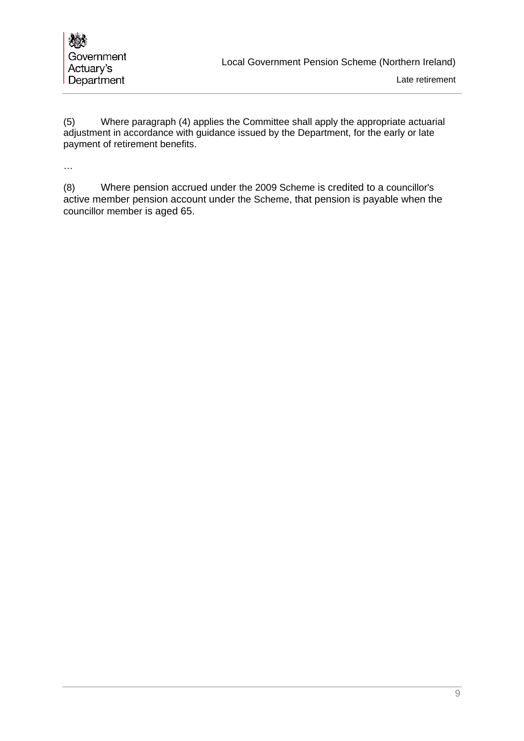| 燃          |
|------------|
| Government |
| Actuary's  |
| Department |

Late retirement

(5) Where paragraph (4) applies the Committee shall apply the appropriate actuarial adjustment in accordance with guidance issued by the Department, for the early or late payment of retirement benefits.

…

(8) Where pension accrued under the 2009 Scheme is credited to a councillor's active member pension account under the Scheme, that pension is payable when the councillor member is aged 65.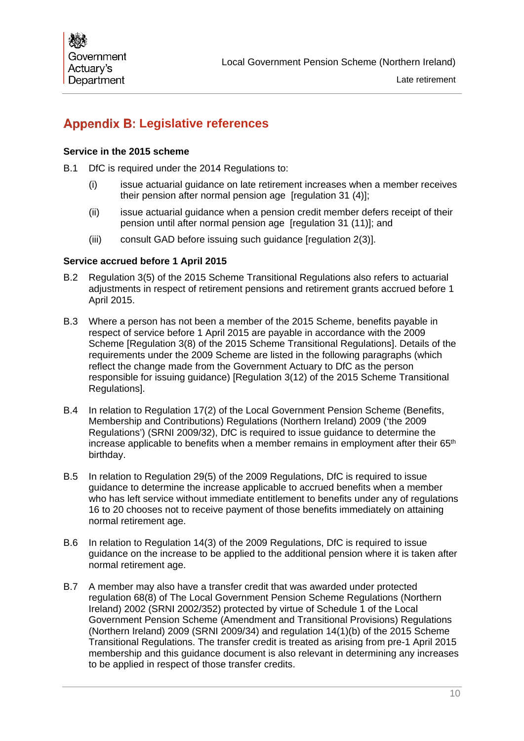# <span id="page-11-0"></span>**Appendix B: Legislative references**

#### **Service in the 2015 scheme**

- B.1 DfC is required under the 2014 Regulations to:
	- (i) issue actuarial guidance on late retirement increases when a member receives their pension after normal pension age [regulation 31 (4)];
	- (ii) issue actuarial guidance when a pension credit member defers receipt of their pension until after normal pension age [regulation 31 (11)]; and
	- (iii) consult GAD before issuing such guidance [regulation 2(3)].

#### **Service accrued before 1 April 2015**

- B.2 Regulation 3(5) of the 2015 Scheme Transitional Regulations also refers to actuarial adjustments in respect of retirement pensions and retirement grants accrued before 1 April 2015.
- B.3 Where a person has not been a member of the 2015 Scheme, benefits payable in respect of service before 1 April 2015 are payable in accordance with the 2009 Scheme [Regulation 3(8) of the 2015 Scheme Transitional Regulations]. Details of the requirements under the 2009 Scheme are listed in the following paragraphs (which reflect the change made from the Government Actuary to DfC as the person responsible for issuing guidance) [Regulation 3(12) of the 2015 Scheme Transitional Regulations].
- B.4 In relation to Regulation 17(2) of the Local Government Pension Scheme (Benefits, Membership and Contributions) Regulations (Northern Ireland) 2009 ('the 2009 Regulations') (SRNI 2009/32), DfC is required to issue guidance to determine the increase applicable to benefits when a member remains in employment after their 65<sup>th</sup> birthday.
- B.5 In relation to Regulation 29(5) of the 2009 Regulations, DfC is required to issue guidance to determine the increase applicable to accrued benefits when a member who has left service without immediate entitlement to benefits under any of regulations 16 to 20 chooses not to receive payment of those benefits immediately on attaining normal retirement age.
- B.6 In relation to Regulation 14(3) of the 2009 Regulations, DfC is required to issue guidance on the increase to be applied to the additional pension where it is taken after normal retirement age.
- B.7 A member may also have a transfer credit that was awarded under protected regulation 68(8) of The Local Government Pension Scheme Regulations (Northern Ireland) 2002 (SRNI 2002/352) protected by virtue of Schedule 1 of the Local Government Pension Scheme (Amendment and Transitional Provisions) Regulations (Northern Ireland) 2009 (SRNI 2009/34) and regulation 14(1)(b) of the 2015 Scheme Transitional Regulations. The transfer credit is treated as arising from pre-1 April 2015 membership and this guidance document is also relevant in determining any increases to be applied in respect of those transfer credits.